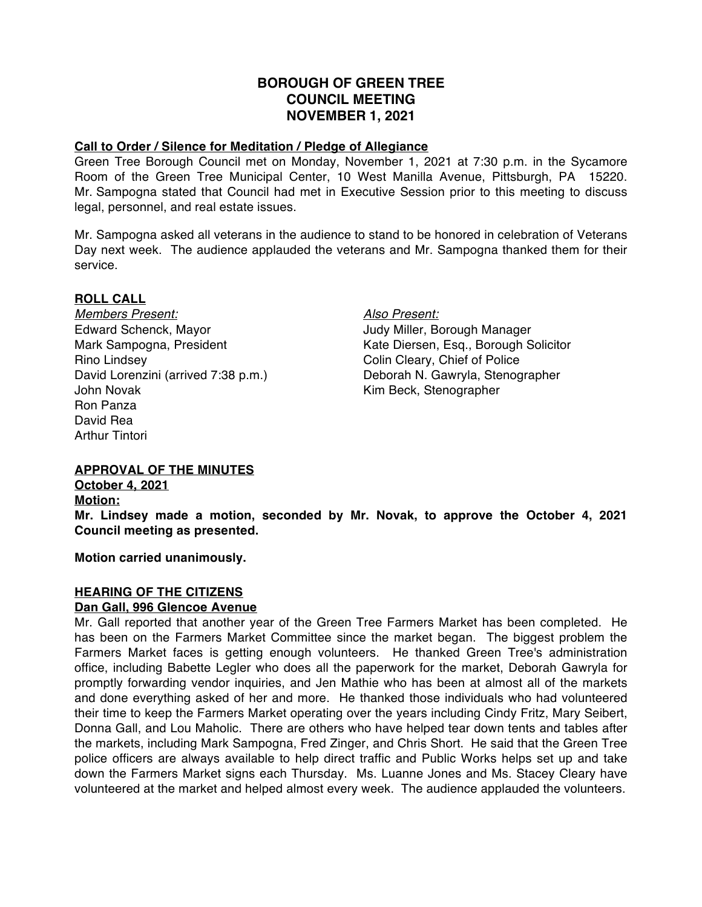# **BOROUGH OF GREEN TREE COUNCIL MEETING NOVEMBER 1, 2021**

#### **Call to Order / Silence for Meditation / Pledge of Allegiance**

Green Tree Borough Council met on Monday, November 1, 2021 at 7:30 p.m. in the Sycamore Room of the Green Tree Municipal Center, 10 West Manilla Avenue, Pittsburgh, PA 15220. Mr. Sampogna stated that Council had met in Executive Session prior to this meeting to discuss legal, personnel, and real estate issues.

Mr. Sampogna asked all veterans in the audience to stand to be honored in celebration of Veterans Day next week. The audience applauded the veterans and Mr. Sampogna thanked them for their service.

### **ROLL CALL**

*Members Present: Also Present:* Edward Schenck, Mayor **Judy Miller**, Borough Manager Rino Lindsey Colin Cleary, Chief of Police David Lorenzini (arrived 7:38 p.m.) Deborah N. Gawryla, Stenographer John Novak **Kim Beck, Stenographer** Ron Panza David Rea Arthur Tintori

Mark Sampogna, President Kate Diersen, Esq., Borough Solicitor

# **APPROVAL OF THE MINUTES**

**October 4, 2021 Motion: Mr. Lindsey made a motion, seconded by Mr. Novak, to approve the October 4, 2021 Council meeting as presented.**

**Motion carried unanimously.**

# **HEARING OF THE CITIZENS**

#### **Dan Gall, 996 Glencoe Avenue**

Mr. Gall reported that another year of the Green Tree Farmers Market has been completed. He has been on the Farmers Market Committee since the market began. The biggest problem the Farmers Market faces is getting enough volunteers. He thanked Green Tree's administration office, including Babette Legler who does all the paperwork for the market, Deborah Gawryla for promptly forwarding vendor inquiries, and Jen Mathie who has been at almost all of the markets and done everything asked of her and more. He thanked those individuals who had volunteered their time to keep the Farmers Market operating over the years including Cindy Fritz, Mary Seibert, Donna Gall, and Lou Maholic. There are others who have helped tear down tents and tables after the markets, including Mark Sampogna, Fred Zinger, and Chris Short. He said that the Green Tree police officers are always available to help direct traffic and Public Works helps set up and take down the Farmers Market signs each Thursday. Ms. Luanne Jones and Ms. Stacey Cleary have volunteered at the market and helped almost every week. The audience applauded the volunteers.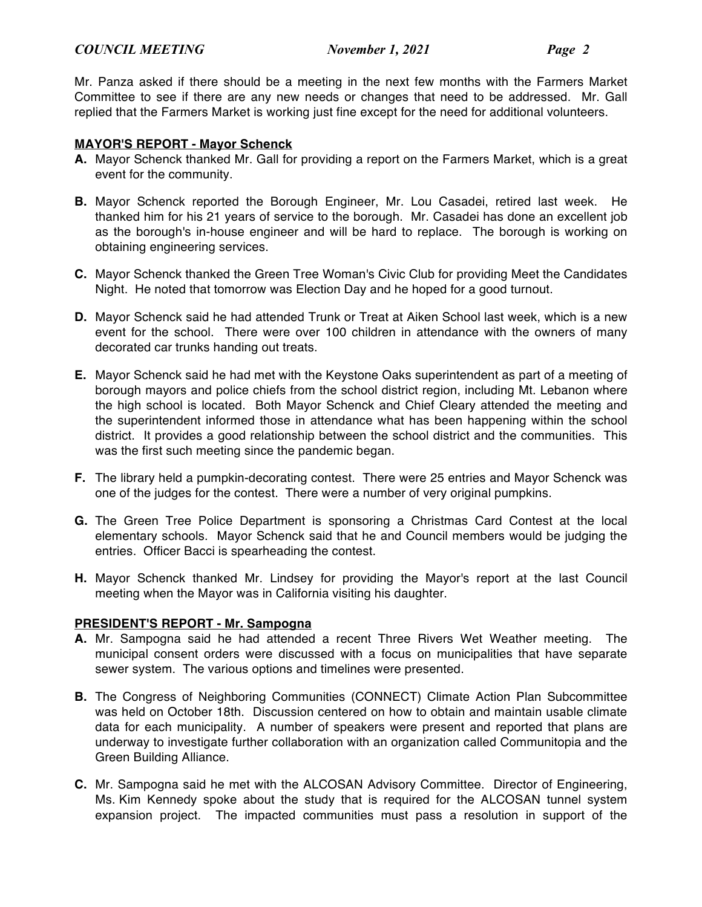Mr. Panza asked if there should be a meeting in the next few months with the Farmers Market Committee to see if there are any new needs or changes that need to be addressed. Mr. Gall replied that the Farmers Market is working just fine except for the need for additional volunteers.

# **MAYOR'S REPORT - Mayor Schenck**

- **A.** Mayor Schenck thanked Mr. Gall for providing a report on the Farmers Market, which is a great event for the community.
- **B.** Mayor Schenck reported the Borough Engineer, Mr. Lou Casadei, retired last week. He thanked him for his 21 years of service to the borough. Mr. Casadei has done an excellent job as the borough's in-house engineer and will be hard to replace. The borough is working on obtaining engineering services.
- **C.** Mayor Schenck thanked the Green Tree Woman's Civic Club for providing Meet the Candidates Night. He noted that tomorrow was Election Day and he hoped for a good turnout.
- **D.** Mayor Schenck said he had attended Trunk or Treat at Aiken School last week, which is a new event for the school. There were over 100 children in attendance with the owners of many decorated car trunks handing out treats.
- **E.** Mayor Schenck said he had met with the Keystone Oaks superintendent as part of a meeting of borough mayors and police chiefs from the school district region, including Mt. Lebanon where the high school is located. Both Mayor Schenck and Chief Cleary attended the meeting and the superintendent informed those in attendance what has been happening within the school district. It provides a good relationship between the school district and the communities. This was the first such meeting since the pandemic began.
- **F.** The library held a pumpkin-decorating contest. There were 25 entries and Mayor Schenck was one of the judges for the contest. There were a number of very original pumpkins.
- **G.** The Green Tree Police Department is sponsoring a Christmas Card Contest at the local elementary schools. Mayor Schenck said that he and Council members would be judging the entries. Officer Bacci is spearheading the contest.
- **H.** Mayor Schenck thanked Mr. Lindsey for providing the Mayor's report at the last Council meeting when the Mayor was in California visiting his daughter.

# **PRESIDENT'S REPORT - Mr. Sampogna**

- **A.** Mr. Sampogna said he had attended a recent Three Rivers Wet Weather meeting. The municipal consent orders were discussed with a focus on municipalities that have separate sewer system. The various options and timelines were presented.
- **B.** The Congress of Neighboring Communities (CONNECT) Climate Action Plan Subcommittee was held on October 18th. Discussion centered on how to obtain and maintain usable climate data for each municipality. A number of speakers were present and reported that plans are underway to investigate further collaboration with an organization called Communitopia and the Green Building Alliance.
- **C.** Mr. Sampogna said he met with the ALCOSAN Advisory Committee. Director of Engineering, Ms. Kim Kennedy spoke about the study that is required for the ALCOSAN tunnel system expansion project. The impacted communities must pass a resolution in support of the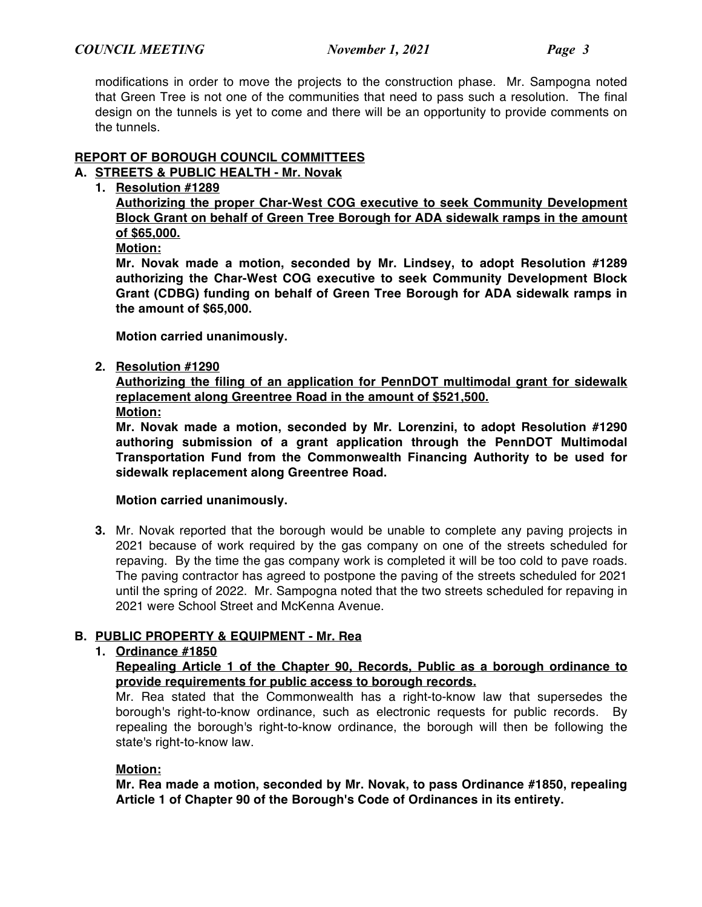modifications in order to move the projects to the construction phase. Mr. Sampogna noted that Green Tree is not one of the communities that need to pass such a resolution. The final design on the tunnels is yet to come and there will be an opportunity to provide comments on the tunnels.

# **REPORT OF BOROUGH COUNCIL COMMITTEES**

# **A. STREETS & PUBLIC HEALTH - Mr. Novak**

**1. Resolution #1289**

**Authorizing the proper Char-West COG executive to seek Community Development Block Grant on behalf of Green Tree Borough for ADA sidewalk ramps in the amount of \$65,000.**

**Motion:**

**Mr. Novak made a motion, seconded by Mr. Lindsey, to adopt Resolution #1289 authorizing the Char-West COG executive to seek Community Development Block Grant (CDBG) funding on behalf of Green Tree Borough for ADA sidewalk ramps in the amount of \$65,000.**

**Motion carried unanimously.**

### **2. Resolution #1290**

**Authorizing the filing of an application for PennDOT multimodal grant for sidewalk replacement along Greentree Road in the amount of \$521,500.**

**Motion:**

**Mr. Novak made a motion, seconded by Mr. Lorenzini, to adopt Resolution #1290 authoring submission of a grant application through the PennDOT Multimodal Transportation Fund from the Commonwealth Financing Authority to be used for sidewalk replacement along Greentree Road.**

# **Motion carried unanimously.**

**3.** Mr. Novak reported that the borough would be unable to complete any paving projects in 2021 because of work required by the gas company on one of the streets scheduled for repaving. By the time the gas company work is completed it will be too cold to pave roads. The paving contractor has agreed to postpone the paving of the streets scheduled for 2021 until the spring of 2022. Mr. Sampogna noted that the two streets scheduled for repaving in 2021 were School Street and McKenna Avenue.

# **B. PUBLIC PROPERTY & EQUIPMENT - Mr. Rea**

# **1. Ordinance #1850**

**Repealing Article 1 of the Chapter 90, Records, Public as a borough ordinance to provide requirements for public access to borough records.**

Mr. Rea stated that the Commonwealth has a right-to-know law that supersedes the borough's right-to-know ordinance, such as electronic requests for public records. By repealing the borough's right-to-know ordinance, the borough will then be following the state's right-to-know law.

# **Motion:**

**Mr. Rea made a motion, seconded by Mr. Novak, to pass Ordinance #1850, repealing Article 1 of Chapter 90 of the Borough's Code of Ordinances in its entirety.**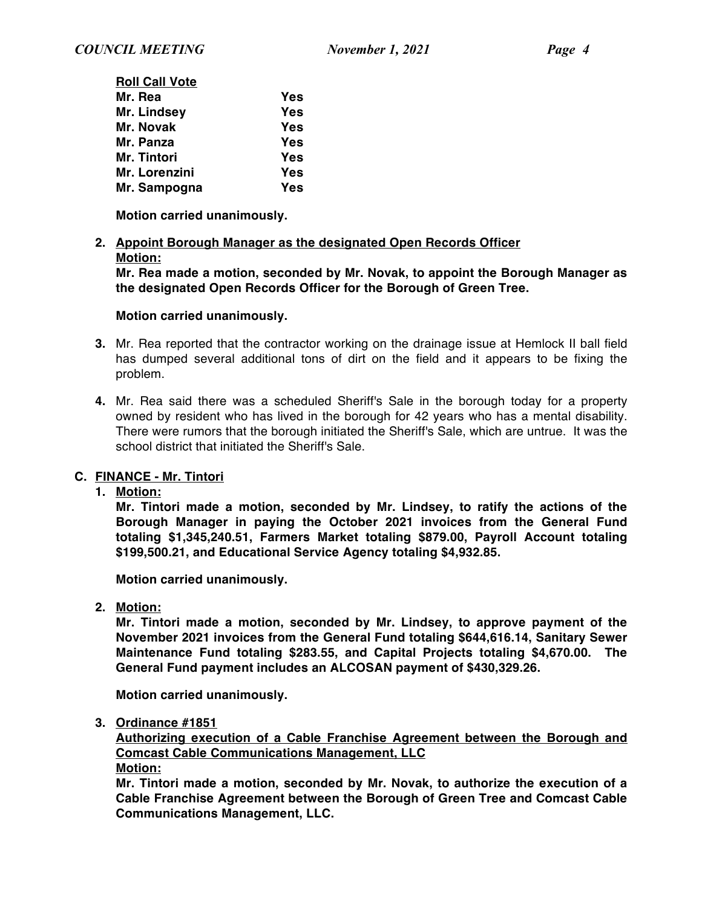| <b>Roll Call Vote</b> |     |
|-----------------------|-----|
| Mr. Rea               | Yes |
| Mr. Lindsey           | Yes |
| Mr. Novak             | Yes |
| Mr. Panza             | Yes |
| Mr. Tintori           | Yes |
| Mr. Lorenzini         | Yes |
| Mr. Sampogna          | Yes |
|                       |     |

**Motion carried unanimously.**

### **2. Appoint Borough Manager as the designated Open Records Officer Motion:**

**Mr. Rea made a motion, seconded by Mr. Novak, to appoint the Borough Manager as the designated Open Records Officer for the Borough of Green Tree.**

### **Motion carried unanimously.**

- **3.** Mr. Rea reported that the contractor working on the drainage issue at Hemlock II ball field has dumped several additional tons of dirt on the field and it appears to be fixing the problem.
- **4.** Mr. Rea said there was a scheduled Sheriff's Sale in the borough today for a property owned by resident who has lived in the borough for 42 years who has a mental disability. There were rumors that the borough initiated the Sheriff's Sale, which are untrue. It was the school district that initiated the Sheriff's Sale.

# **C. FINANCE - Mr. Tintori**

**1. Motion:**

**Mr. Tintori made a motion, seconded by Mr. Lindsey, to ratify the actions of the Borough Manager in paying the October 2021 invoices from the General Fund totaling \$1,345,240.51, Farmers Market totaling \$879.00, Payroll Account totaling \$199,500.21, and Educational Service Agency totaling \$4,932.85.**

**Motion carried unanimously.**

**2. Motion:**

**Mr. Tintori made a motion, seconded by Mr. Lindsey, to approve payment of the November 2021 invoices from the General Fund totaling \$644,616.14, Sanitary Sewer Maintenance Fund totaling \$283.55, and Capital Projects totaling \$4,670.00. The General Fund payment includes an ALCOSAN payment of \$430,329.26.**

**Motion carried unanimously.**

**3. Ordinance #1851**

**Authorizing execution of a Cable Franchise Agreement between the Borough and Comcast Cable Communications Management, LLC**

**Motion:**

**Mr. Tintori made a motion, seconded by Mr. Novak, to authorize the execution of a Cable Franchise Agreement between the Borough of Green Tree and Comcast Cable Communications Management, LLC.**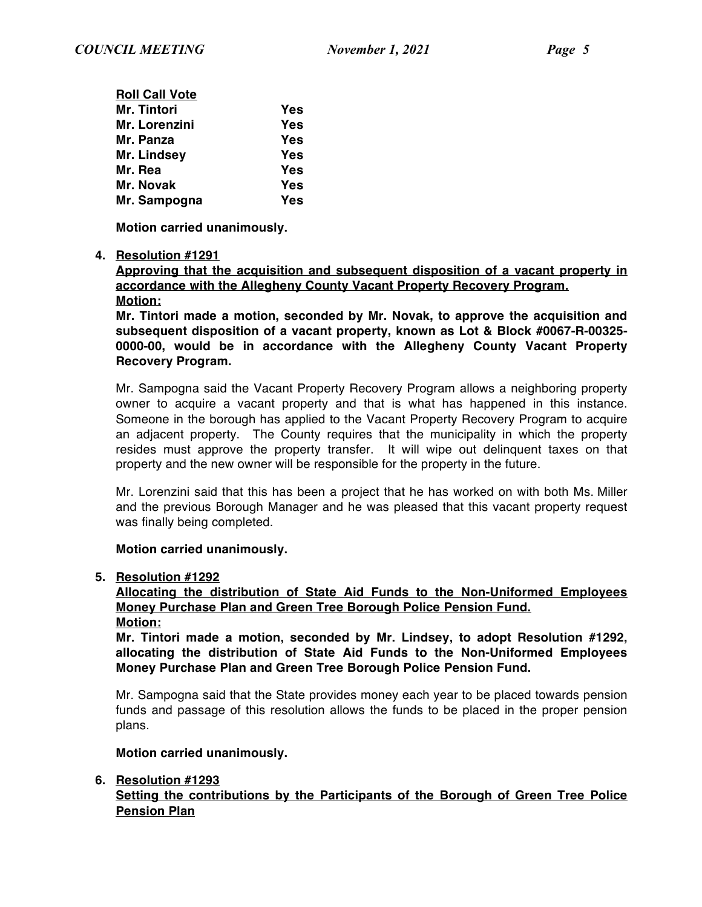| <b>Roll Call Vote</b> |     |
|-----------------------|-----|
| <b>Mr. Tintori</b>    | Yes |
| Mr. Lorenzini         | Yes |
| Mr. Panza             | Yes |
| Mr. Lindsey           | Yes |
| Mr. Rea               | Yes |
| Mr. Novak             | Yes |
| Mr. Sampogna          | Yes |

**Motion carried unanimously.**

### **4. Resolution #1291**

**Approving that the acquisition and subsequent disposition of a vacant property in accordance with the Allegheny County Vacant Property Recovery Program. Motion:**

**Mr. Tintori made a motion, seconded by Mr. Novak, to approve the acquisition and subsequent disposition of a vacant property, known as Lot & Block #0067-R-00325- 0000-00, would be in accordance with the Allegheny County Vacant Property Recovery Program.**

Mr. Sampogna said the Vacant Property Recovery Program allows a neighboring property owner to acquire a vacant property and that is what has happened in this instance. Someone in the borough has applied to the Vacant Property Recovery Program to acquire an adjacent property. The County requires that the municipality in which the property resides must approve the property transfer. It will wipe out delinquent taxes on that property and the new owner will be responsible for the property in the future.

Mr. Lorenzini said that this has been a project that he has worked on with both Ms. Miller and the previous Borough Manager and he was pleased that this vacant property request was finally being completed.

# **Motion carried unanimously.**

#### **5. Resolution #1292**

**Allocating the distribution of State Aid Funds to the Non-Uniformed Employees Money Purchase Plan and Green Tree Borough Police Pension Fund. Motion:**

**Mr. Tintori made a motion, seconded by Mr. Lindsey, to adopt Resolution #1292, allocating the distribution of State Aid Funds to the Non-Uniformed Employees Money Purchase Plan and Green Tree Borough Police Pension Fund.**

Mr. Sampogna said that the State provides money each year to be placed towards pension funds and passage of this resolution allows the funds to be placed in the proper pension plans.

#### **Motion carried unanimously.**

# **6. Resolution #1293**

# **Setting the contributions by the Participants of the Borough of Green Tree Police Pension Plan**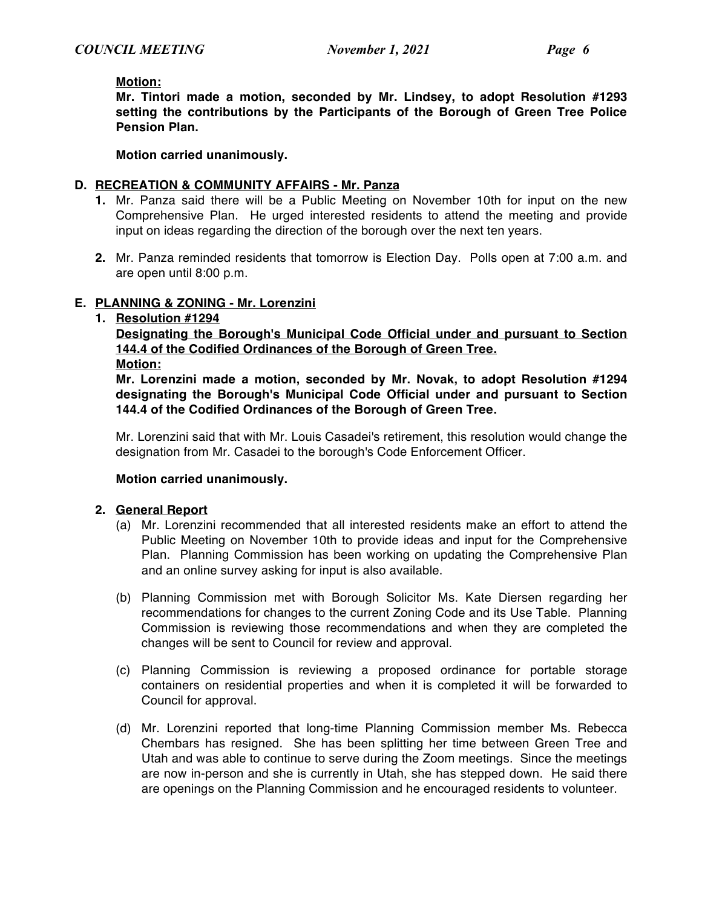#### **Motion:**

**Mr. Tintori made a motion, seconded by Mr. Lindsey, to adopt Resolution #1293 setting the contributions by the Participants of the Borough of Green Tree Police Pension Plan.**

**Motion carried unanimously.**

#### **D. RECREATION & COMMUNITY AFFAIRS - Mr. Panza**

- **1.** Mr. Panza said there will be a Public Meeting on November 10th for input on the new Comprehensive Plan. He urged interested residents to attend the meeting and provide input on ideas regarding the direction of the borough over the next ten years.
- **2.** Mr. Panza reminded residents that tomorrow is Election Day. Polls open at 7:00 a.m. and are open until 8:00 p.m.

#### **E. PLANNING & ZONING - Mr. Lorenzini**

#### **1. Resolution #1294**

**Designating the Borough's Municipal Code Official under and pursuant to Section 144.4 of the Codified Ordinances of the Borough of Green Tree.**

#### **Motion:**

**Mr. Lorenzini made a motion, seconded by Mr. Novak, to adopt Resolution #1294 designating the Borough's Municipal Code Official under and pursuant to Section 144.4 of the Codified Ordinances of the Borough of Green Tree.**

Mr. Lorenzini said that with Mr. Louis Casadei's retirement, this resolution would change the designation from Mr. Casadei to the borough's Code Enforcement Officer.

#### **Motion carried unanimously.**

#### **2. General Report**

- (a) Mr. Lorenzini recommended that all interested residents make an effort to attend the Public Meeting on November 10th to provide ideas and input for the Comprehensive Plan. Planning Commission has been working on updating the Comprehensive Plan and an online survey asking for input is also available.
- (b) Planning Commission met with Borough Solicitor Ms. Kate Diersen regarding her recommendations for changes to the current Zoning Code and its Use Table. Planning Commission is reviewing those recommendations and when they are completed the changes will be sent to Council for review and approval.
- (c) Planning Commission is reviewing a proposed ordinance for portable storage containers on residential properties and when it is completed it will be forwarded to Council for approval.
- (d) Mr. Lorenzini reported that long-time Planning Commission member Ms. Rebecca Chembars has resigned. She has been splitting her time between Green Tree and Utah and was able to continue to serve during the Zoom meetings. Since the meetings are now in-person and she is currently in Utah, she has stepped down. He said there are openings on the Planning Commission and he encouraged residents to volunteer.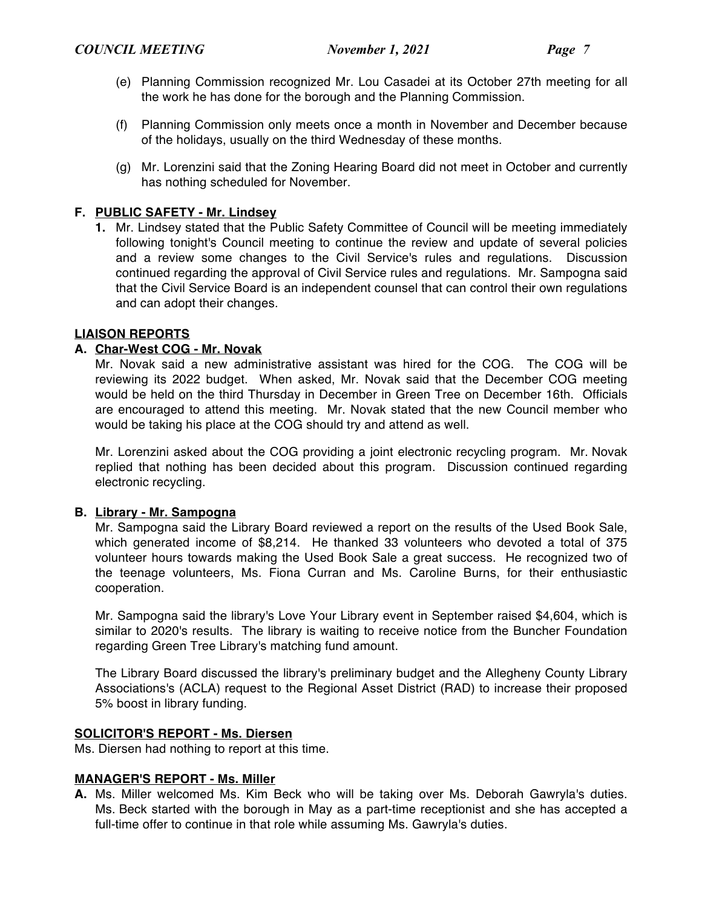- (e) Planning Commission recognized Mr. Lou Casadei at its October 27th meeting for all the work he has done for the borough and the Planning Commission.
- (f) Planning Commission only meets once a month in November and December because of the holidays, usually on the third Wednesday of these months.
- (g) Mr. Lorenzini said that the Zoning Hearing Board did not meet in October and currently has nothing scheduled for November.

### **F. PUBLIC SAFETY - Mr. Lindsey**

**1.** Mr. Lindsey stated that the Public Safety Committee of Council will be meeting immediately following tonight's Council meeting to continue the review and update of several policies and a review some changes to the Civil Service's rules and regulations. Discussion continued regarding the approval of Civil Service rules and regulations. Mr. Sampogna said that the Civil Service Board is an independent counsel that can control their own regulations and can adopt their changes.

### **LIAISON REPORTS**

### **A. Char-West COG - Mr. Novak**

Mr. Novak said a new administrative assistant was hired for the COG. The COG will be reviewing its 2022 budget. When asked, Mr. Novak said that the December COG meeting would be held on the third Thursday in December in Green Tree on December 16th. Officials are encouraged to attend this meeting. Mr. Novak stated that the new Council member who would be taking his place at the COG should try and attend as well.

Mr. Lorenzini asked about the COG providing a joint electronic recycling program. Mr. Novak replied that nothing has been decided about this program. Discussion continued regarding electronic recycling.

### **B. Library - Mr. Sampogna**

Mr. Sampogna said the Library Board reviewed a report on the results of the Used Book Sale, which generated income of \$8,214. He thanked 33 volunteers who devoted a total of 375 volunteer hours towards making the Used Book Sale a great success. He recognized two of the teenage volunteers, Ms. Fiona Curran and Ms. Caroline Burns, for their enthusiastic cooperation.

Mr. Sampogna said the library's Love Your Library event in September raised \$4,604, which is similar to 2020's results. The library is waiting to receive notice from the Buncher Foundation regarding Green Tree Library's matching fund amount.

The Library Board discussed the library's preliminary budget and the Allegheny County Library Associations's (ACLA) request to the Regional Asset District (RAD) to increase their proposed 5% boost in library funding.

#### **SOLICITOR'S REPORT - Ms. Diersen**

Ms. Diersen had nothing to report at this time.

#### **MANAGER'S REPORT - Ms. Miller**

**A.** Ms. Miller welcomed Ms. Kim Beck who will be taking over Ms. Deborah Gawryla's duties. Ms. Beck started with the borough in May as a part-time receptionist and she has accepted a full-time offer to continue in that role while assuming Ms. Gawryla's duties.